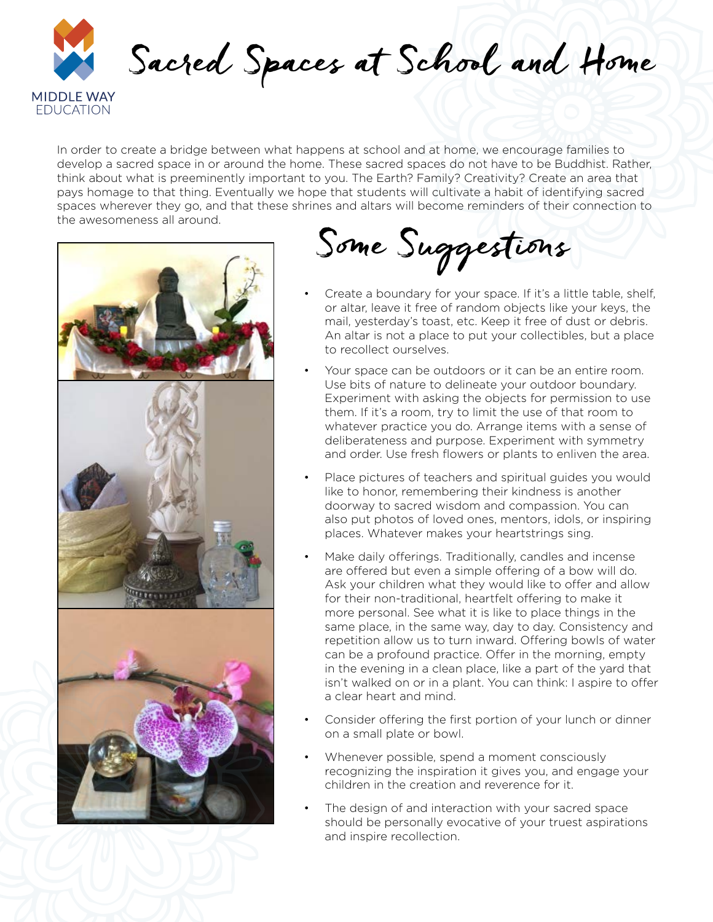

In order to create a bridge between what happens at school and at home, we encourage families to develop a sacred space in or around the home. These sacred spaces do not have to be Buddhist. Rather, think about what is preeminently important to you. The Earth? Family? Creativity? Create an area that pays homage to that thing. Eventually we hope that students will cultivate a habit of identifying sacred spaces wherever they go, and that these shrines and altars will become reminders of their connection to the awesomeness all around.



Some Suggestions

- Create a boundary for your space. If it's a little table, shelf, or altar, leave it free of random objects like your keys, the mail, yesterday's toast, etc. Keep it free of dust or debris. An altar is not a place to put your collectibles, but a place to recollect ourselves.
- Your space can be outdoors or it can be an entire room. Use bits of nature to delineate your outdoor boundary. Experiment with asking the objects for permission to use them. If it's a room, try to limit the use of that room to whatever practice you do. Arrange items with a sense of deliberateness and purpose. Experiment with symmetry and order. Use fresh flowers or plants to enliven the area.
- Place pictures of teachers and spiritual guides you would like to honor, remembering their kindness is another doorway to sacred wisdom and compassion. You can also put photos of loved ones, mentors, idols, or inspiring places. Whatever makes your heartstrings sing.
- Make daily offerings. Traditionally, candles and incense are offered but even a simple offering of a bow will do. Ask your children what they would like to offer and allow for their non-traditional, heartfelt offering to make it more personal. See what it is like to place things in the same place, in the same way, day to day. Consistency and repetition allow us to turn inward. Offering bowls of water can be a profound practice. Offer in the morning, empty in the evening in a clean place, like a part of the yard that isn't walked on or in a plant. You can think: I aspire to offer a clear heart and mind.
- Consider offering the first portion of your lunch or dinner on a small plate or bowl.
- Whenever possible, spend a moment consciously recognizing the inspiration it gives you, and engage your children in the creation and reverence for it.
- The design of and interaction with your sacred space should be personally evocative of your truest aspirations and inspire recollection.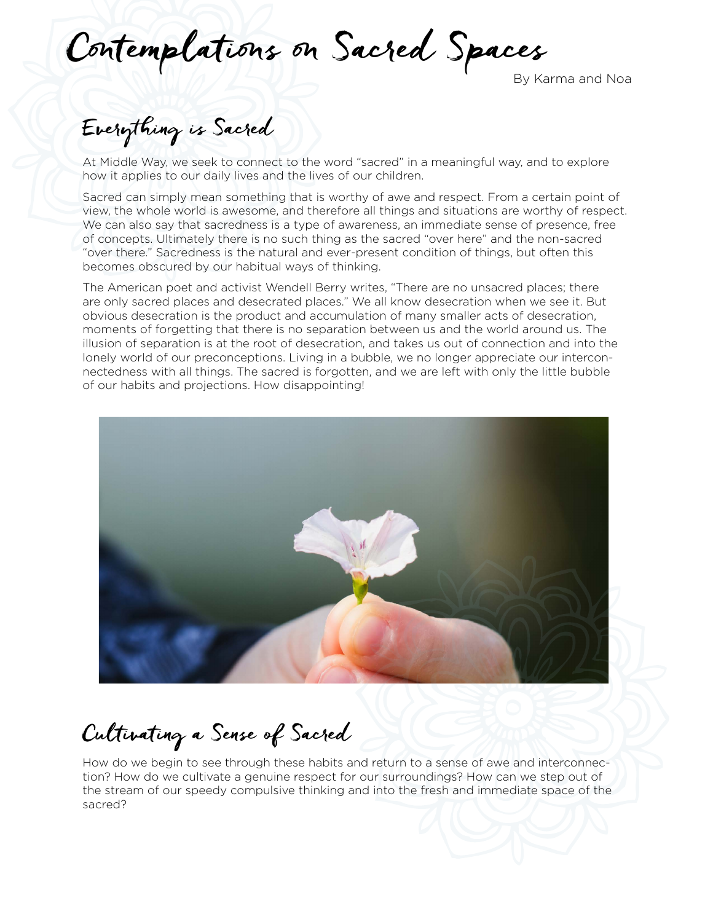Contemplations on Sacred Spaces

## Everything is Sacred

At Middle Way, we seek to connect to the word "sacred" in a meaningful way, and to explore how it applies to our daily lives and the lives of our children.

Sacred can simply mean something that is worthy of awe and respect. From a certain point of view, the whole world is awesome, and therefore all things and situations are worthy of respect. We can also say that sacredness is a type of awareness, an immediate sense of presence, free of concepts. Ultimately there is no such thing as the sacred "over here" and the non-sacred "over there." Sacredness is the natural and ever-present condition of things, but often this becomes obscured by our habitual ways of thinking.

The American poet and activist Wendell Berry writes, "There are no unsacred places; there are only sacred places and desecrated places." We all know desecration when we see it. But obvious desecration is the product and accumulation of many smaller acts of desecration, moments of forgetting that there is no separation between us and the world around us. The illusion of separation is at the root of desecration, and takes us out of connection and into the lonely world of our preconceptions. Living in a bubble, we no longer appreciate our interconnectedness with all things. The sacred is forgotten, and we are left with only the little bubble of our habits and projections. How disappointing!



Cultivating a Sense of Sacred

How do we begin to see through these habits and return to a sense of awe and interconnection? How do we cultivate a genuine respect for our surroundings? How can we step out of the stream of our speedy compulsive thinking and into the fresh and immediate space of the sacred?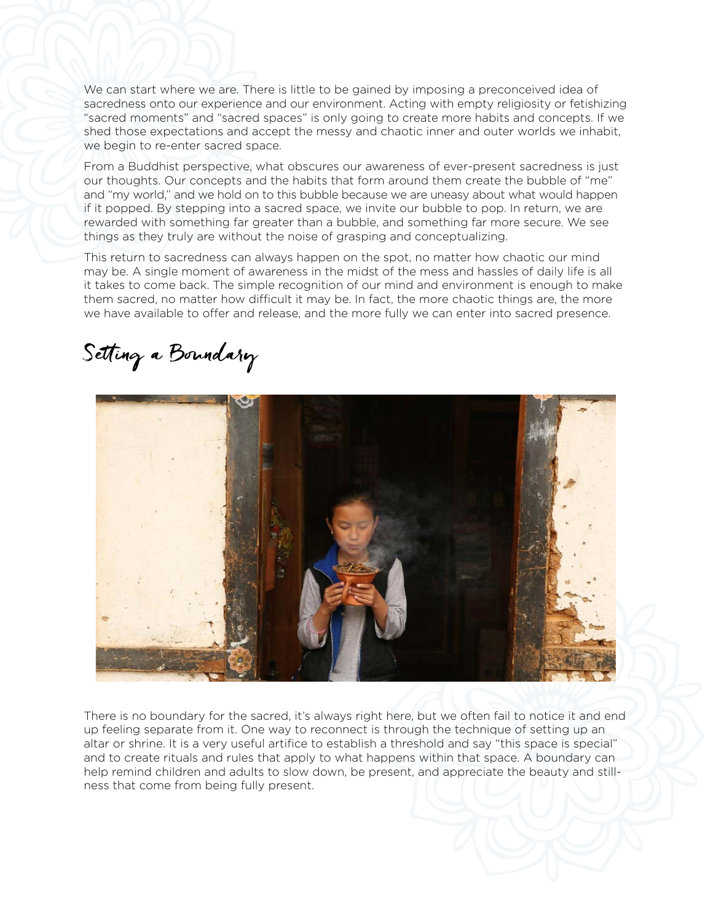We can start where we are. There is little to be gained by imposing a preconceived idea of sacredness onto our experience and our environment. Acting with empty religiosity or fetishizing "sacred moments" and "sacred spaces" is only going to create more habits and concepts. If we shed those expectations and accept the messy and chaotic inner and outer worlds we inhabit, we begin to re-enter sacred space.

From a Buddhist perspective, what obscures our awareness of ever-present sacredness is just our thoughts. Our concepts and the habits that form around them create the bubble of "me" and "my world," and we hold on to this bubble because we are uneasy about what would happen if it popped. By stepping into a sacred space, we invite our bubble to pop. In return, we are rewarded with something far greater than a bubble, and something far more secure. We see things as they truly are without the noise of grasping and conceptualizing.

This return to sacredness can always happen on the spot, no matter how chaotic our mind may be. A single moment of awareness in the midst of the mess and hassles of daily life is all it takes to come back. The simple recognition of our mind and environment is enough to make them sacred, no matter how difficult it may be. In fact, the more chaotic things are, the more we have available to offer and release, and the more fully we can enter into sacred presence.

Setting a Boundary



There is no boundary for the sacred, it's always right here, but we often fail to notice it and end up feeling separate from it. One way to reconnect is through the technique of setting up an altar or shrine. It is a very useful artifice to establish a threshold and say "this space is special" and to create rituals and rules that apply to what happens within that space. A boundary can help remind children and adults to slow down, be present, and appreciate the beauty and stillness that come from being fully present.